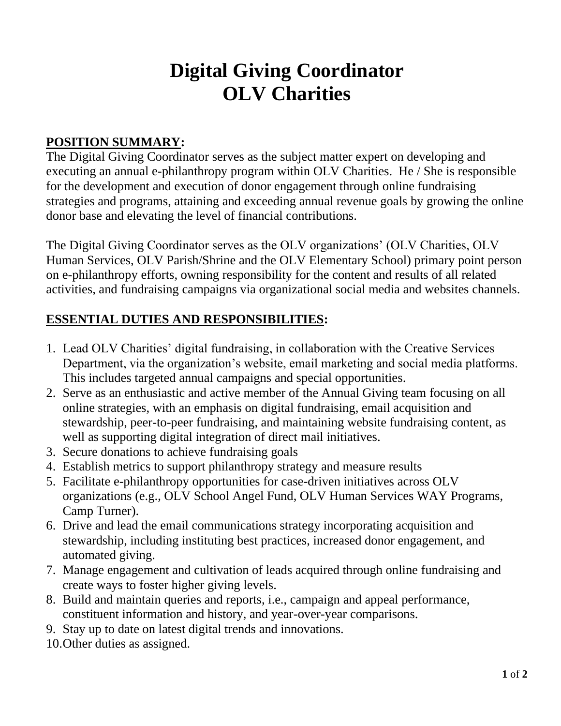# **Digital Giving Coordinator OLV Charities**

## **POSITION SUMMARY:**

The Digital Giving Coordinator serves as the subject matter expert on developing and executing an annual e-philanthropy program within OLV Charities. He / She is responsible for the development and execution of donor engagement through online fundraising strategies and programs, attaining and exceeding annual revenue goals by growing the online donor base and elevating the level of financial contributions.

The Digital Giving Coordinator serves as the OLV organizations' (OLV Charities, OLV Human Services, OLV Parish/Shrine and the OLV Elementary School) primary point person on e-philanthropy efforts, owning responsibility for the content and results of all related activities, and fundraising campaigns via organizational social media and websites channels.

#### **ESSENTIAL DUTIES AND RESPONSIBILITIES:**

- 1. Lead OLV Charities' digital fundraising, in collaboration with the Creative Services Department, via the organization's website, email marketing and social media platforms. This includes targeted annual campaigns and special opportunities.
- 2. Serve as an enthusiastic and active member of the Annual Giving team focusing on all online strategies, with an emphasis on digital fundraising, email acquisition and stewardship, peer-to-peer fundraising, and maintaining website fundraising content, as well as supporting digital integration of direct mail initiatives.
- 3. Secure donations to achieve fundraising goals
- 4. Establish metrics to support philanthropy strategy and measure results
- 5. Facilitate e-philanthropy opportunities for case-driven initiatives across OLV organizations (e.g., OLV School Angel Fund, OLV Human Services WAY Programs, Camp Turner).
- 6. Drive and lead the email communications strategy incorporating acquisition and stewardship, including instituting best practices, increased donor engagement, and automated giving.
- 7. Manage engagement and cultivation of leads acquired through online fundraising and create ways to foster higher giving levels.
- 8. Build and maintain queries and reports, i.e., campaign and appeal performance, constituent information and history, and year-over-year comparisons.
- 9. Stay up to date on latest digital trends and innovations.
- 10.Other duties as assigned.